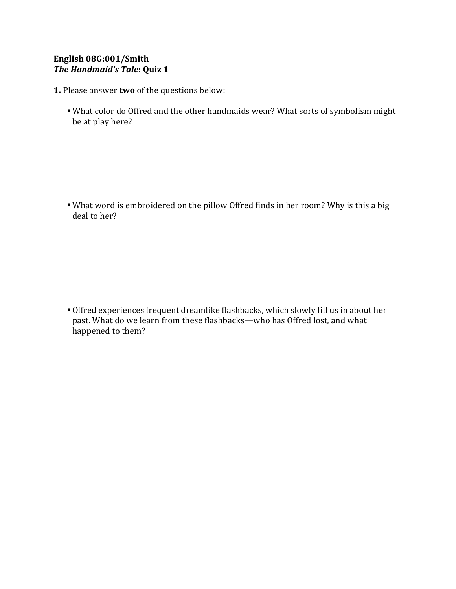## English 08G:001/Smith *The Handmaid's Tale*: Quiz 1

- **1.** Please answer **two** of the questions below:
	- What color do Offred and the other handmaids wear? What sorts of symbolism might be at play here?

• What word is embroidered on the pillow Offred finds in her room? Why is this a big deal to her?

• Offred experiences frequent dreamlike flashbacks, which slowly fill us in about her past. What do we learn from these flashbacks—who has Offred lost, and what happened to them?